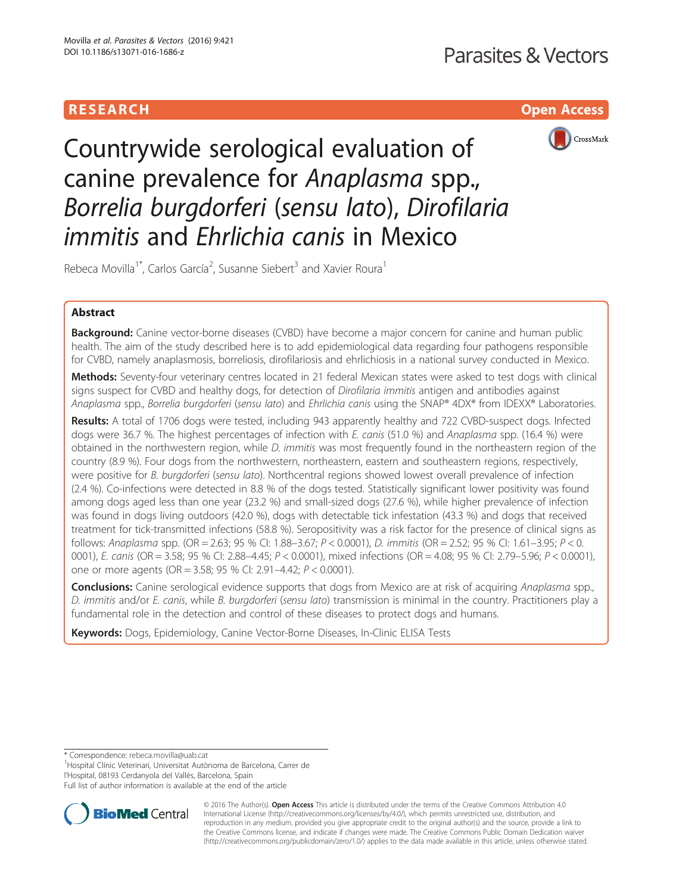



Countrywide serological evaluation of canine prevalence for Anaplasma spp., Borrelia burgdorferi (sensu lato), Dirofilaria immitis and Ehrlichia canis in Mexico

Rebeca Movilla<sup>1\*</sup>, Carlos García<sup>2</sup>, Susanne Siebert<sup>3</sup> and Xavier Roura<sup>1</sup>

# Abstract

Background: Canine vector-borne diseases (CVBD) have become a major concern for canine and human public health. The aim of the study described here is to add epidemiological data regarding four pathogens responsible for CVBD, namely anaplasmosis, borreliosis, dirofilariosis and ehrlichiosis in a national survey conducted in Mexico.

Methods: Seventy-four veterinary centres located in 21 federal Mexican states were asked to test dogs with clinical signs suspect for CVBD and healthy dogs, for detection of Dirofilaria immitis antigen and antibodies against Anaplasma spp., Borrelia burgdorferi (sensu lato) and Ehrlichia canis using the SNAP® 4DX® from IDEXX® Laboratories.

Results: A total of 1706 dogs were tested, including 943 apparently healthy and 722 CVBD-suspect dogs. Infected dogs were 36.7 %. The highest percentages of infection with E. canis (51.0 %) and Anaplasma spp. (16.4 %) were obtained in the northwestern region, while D. immitis was most frequently found in the northeastern region of the country (8.9 %). Four dogs from the northwestern, northeastern, eastern and southeastern regions, respectively, were positive for B. burgdorferi (sensu lato). Northcentral regions showed lowest overall prevalence of infection (2.4 %). Co-infections were detected in 8.8 % of the dogs tested. Statistically significant lower positivity was found among dogs aged less than one year (23.2 %) and small-sized dogs (27.6 %), while higher prevalence of infection was found in dogs living outdoors (42.0 %), dogs with detectable tick infestation (43.3 %) and dogs that received treatment for tick-transmitted infections (58.8 %). Seropositivity was a risk factor for the presence of clinical signs as follows: Anaplasma spp. (OR = 2.63; 95 % CI: 1.88–3.67; P < 0.0001), D. immitis (OR = 2.52; 95 % CI: 1.61–3.95; P < 0. 0001), E. canis (OR = 3.58; 95 % CI: 2.88–4.45; P < 0.0001), mixed infections (OR = 4.08; 95 % CI: 2.79–5.96; P < 0.0001), one or more agents (OR = 3.58; 95 % CI: 2.91–4.42; P < 0.0001).

**Conclusions:** Canine serological evidence supports that dogs from Mexico are at risk of acquiring Anaplasma spp., D. immitis and/or E. canis, while B. burgdorferi (sensu lato) transmission is minimal in the country. Practitioners play a fundamental role in the detection and control of these diseases to protect dogs and humans.

Keywords: Dogs, Epidemiology, Canine Vector-Borne Diseases, In-Clinic ELISA Tests

<sup>1</sup>Hospital Clínic Veterinari, Universitat Autònoma de Barcelona, Carrer de

l'Hospital, 08193 Cerdanyola del Vallès, Barcelona, Spain

Full list of author information is available at the end of the article



© 2016 The Author(s). Open Access This article is distributed under the terms of the Creative Commons Attribution 4.0 International License [\(http://creativecommons.org/licenses/by/4.0/](http://creativecommons.org/licenses/by/4.0/)), which permits unrestricted use, distribution, and reproduction in any medium, provided you give appropriate credit to the original author(s) and the source, provide a link to the Creative Commons license, and indicate if changes were made. The Creative Commons Public Domain Dedication waiver [\(http://creativecommons.org/publicdomain/zero/1.0/](http://creativecommons.org/publicdomain/zero/1.0/)) applies to the data made available in this article, unless otherwise stated.

<sup>\*</sup> Correspondence: [rebeca.movilla@uab.cat](mailto:rebeca.movilla@uab.cat) <sup>1</sup>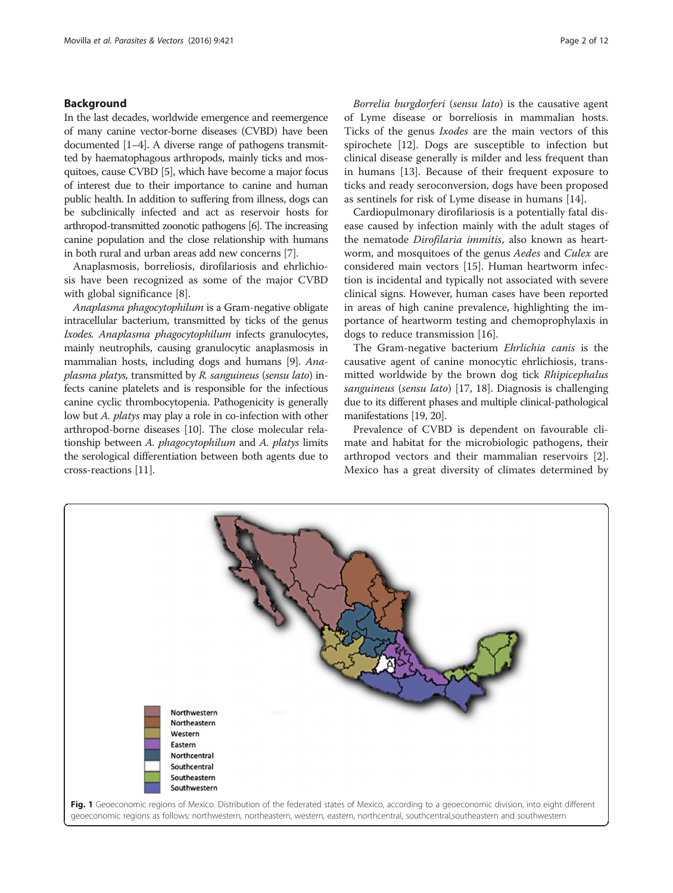# <span id="page-1-0"></span>Background

In the last decades, worldwide emergence and reemergence of many canine vector-borne diseases (CVBD) have been documented [\[1](#page-10-0)–[4](#page-10-0)]. A diverse range of pathogens transmitted by haematophagous arthropods, mainly ticks and mosquitoes, cause CVBD [\[5](#page-10-0)], which have become a major focus of interest due to their importance to canine and human public health. In addition to suffering from illness, dogs can be subclinically infected and act as reservoir hosts for arthropod-transmitted zoonotic pathogens [[6](#page-10-0)]. The increasing canine population and the close relationship with humans in both rural and urban areas add new concerns [\[7](#page-10-0)].

Anaplasmosis, borreliosis, dirofilariosis and ehrlichiosis have been recognized as some of the major CVBD with global significance [\[8](#page-10-0)].

Anaplasma phagocytophilum is a Gram-negative obligate intracellular bacterium, transmitted by ticks of the genus Ixodes. Anaplasma phagocytophilum infects granulocytes, mainly neutrophils, causing granulocytic anaplasmosis in mammalian hosts, including dogs and humans [\[9](#page-10-0)]. Anaplasma platys, transmitted by R. sanguineus (sensu lato) infects canine platelets and is responsible for the infectious canine cyclic thrombocytopenia. Pathogenicity is generally low but A. platys may play a role in co-infection with other arthropod-borne diseases [\[10\]](#page-10-0). The close molecular relationship between A. phagocytophilum and A. platys limits the serological differentiation between both agents due to cross-reactions [\[11\]](#page-10-0).

Borrelia burgdorferi (sensu lato) is the causative agent of Lyme disease or borreliosis in mammalian hosts. Ticks of the genus Ixodes are the main vectors of this spirochete [\[12](#page-10-0)]. Dogs are susceptible to infection but clinical disease generally is milder and less frequent than in humans [\[13](#page-10-0)]. Because of their frequent exposure to ticks and ready seroconversion, dogs have been proposed as sentinels for risk of Lyme disease in humans [\[14](#page-10-0)].

Cardiopulmonary dirofilariosis is a potentially fatal disease caused by infection mainly with the adult stages of the nematode Dirofilaria immitis, also known as heartworm, and mosquitoes of the genus Aedes and Culex are considered main vectors [\[15\]](#page-10-0). Human heartworm infection is incidental and typically not associated with severe clinical signs. However, human cases have been reported in areas of high canine prevalence, highlighting the importance of heartworm testing and chemoprophylaxis in dogs to reduce transmission [[16\]](#page-10-0).

The Gram-negative bacterium Ehrlichia canis is the causative agent of canine monocytic ehrlichiosis, transmitted worldwide by the brown dog tick Rhipicephalus sanguineus (sensu lato) [\[17, 18](#page-10-0)]. Diagnosis is challenging due to its different phases and multiple clinical-pathological manifestations [\[19](#page-10-0), [20](#page-10-0)].

Prevalence of CVBD is dependent on favourable climate and habitat for the microbiologic pathogens, their arthropod vectors and their mammalian reservoirs [\[2](#page-10-0)]. Mexico has a great diversity of climates determined by

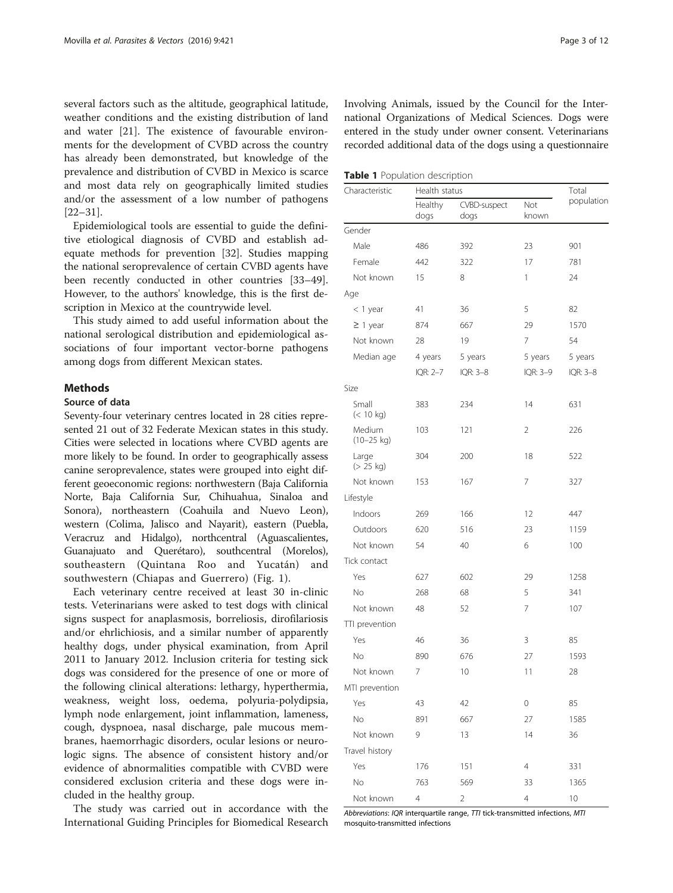<span id="page-2-0"></span>several factors such as the altitude, geographical latitude, weather conditions and the existing distribution of land and water [[21\]](#page-10-0). The existence of favourable environments for the development of CVBD across the country has already been demonstrated, but knowledge of the prevalence and distribution of CVBD in Mexico is scarce and most data rely on geographically limited studies and/or the assessment of a low number of pathogens [[22](#page-10-0)–[31](#page-10-0)].

Epidemiological tools are essential to guide the definitive etiological diagnosis of CVBD and establish adequate methods for prevention [\[32](#page-10-0)]. Studies mapping the national seroprevalence of certain CVBD agents have been recently conducted in other countries [[33](#page-10-0)–[49](#page-11-0)]. However, to the authors' knowledge, this is the first description in Mexico at the countrywide level.

This study aimed to add useful information about the national serological distribution and epidemiological associations of four important vector-borne pathogens among dogs from different Mexican states.

# **Methods**

# Source of data

Seventy-four veterinary centres located in 28 cities represented 21 out of 32 Federate Mexican states in this study. Cities were selected in locations where CVBD agents are more likely to be found. In order to geographically assess canine seroprevalence, states were grouped into eight different geoeconomic regions: northwestern (Baja California Norte, Baja California Sur, Chihuahua, Sinaloa and Sonora), northeastern (Coahuila and Nuevo Leon), western (Colima, Jalisco and Nayarit), eastern (Puebla, Veracruz and Hidalgo), northcentral (Aguascalientes, Guanajuato and Querétaro), southcentral (Morelos), southeastern (Quintana Roo and Yucatán) and southwestern (Chiapas and Guerrero) (Fig. [1\)](#page-1-0).

Each veterinary centre received at least 30 in-clinic tests. Veterinarians were asked to test dogs with clinical signs suspect for anaplasmosis, borreliosis, dirofilariosis and/or ehrlichiosis, and a similar number of apparently healthy dogs, under physical examination, from April 2011 to January 2012. Inclusion criteria for testing sick dogs was considered for the presence of one or more of the following clinical alterations: lethargy, hyperthermia, weakness, weight loss, oedema, polyuria-polydipsia, lymph node enlargement, joint inflammation, lameness, cough, dyspnoea, nasal discharge, pale mucous membranes, haemorrhagic disorders, ocular lesions or neurologic signs. The absence of consistent history and/or evidence of abnormalities compatible with CVBD were considered exclusion criteria and these dogs were included in the healthy group.

The study was carried out in accordance with the International Guiding Principles for Biomedical Research

Involving Animals, issued by the Council for the International Organizations of Medical Sciences. Dogs were entered in the study under owner consent. Veterinarians recorded additional data of the dogs using a questionnaire

Table 1 Population description

| Characteristic         |                 | Health status               |                |            |  |  |
|------------------------|-----------------|-----------------------------|----------------|------------|--|--|
|                        | Healthy<br>dogs | <b>CVBD-suspect</b><br>dogs | Not<br>known   | population |  |  |
| Gender                 |                 |                             |                |            |  |  |
| Male                   | 486             | 392                         | 23             | 901        |  |  |
| Female                 | 442             | 322                         | 17             | 781        |  |  |
| Not known              | 15              | 8                           | 1              | 24         |  |  |
| Age                    |                 |                             |                |            |  |  |
| $<$ 1 year             | 41              | 36                          | 5              | 82         |  |  |
| $\geq$ 1 year          | 874             | 667                         | 29             | 1570       |  |  |
| Not known              | 28              | 19                          | 7              | 54         |  |  |
| Median age             | 4 years         | 5 years                     | 5 years        | 5 years    |  |  |
|                        | IQR: 2-7        | IQR: 3-8                    | IQR: 3-9       | IQR: 3-8   |  |  |
| Size                   |                 |                             |                |            |  |  |
| Small<br>$(< 10$ kg)   | 383             | 234                         | 14             | 631        |  |  |
| Medium<br>$(10-25$ kg) | 103             | 121                         | 2              | 226        |  |  |
| Large<br>(> 25 kg)     | 304             | 200                         | 18             | 522        |  |  |
| Not known              | 153             | 167                         | 7              | 327        |  |  |
| Lifestyle              |                 |                             |                |            |  |  |
| Indoors                | 269             | 166                         | 12             | 447        |  |  |
| Outdoors               | 620             | 516                         | 23             | 1159       |  |  |
| Not known              | 54              | 40                          | 6              | 100        |  |  |
| Tick contact           |                 |                             |                |            |  |  |
| Yes                    | 627             | 602                         | 29             | 1258       |  |  |
| No                     | 268             | 68                          | 5              | 341        |  |  |
| Not known              | 48              | 52                          | 7              | 107        |  |  |
| TTI prevention         |                 |                             |                |            |  |  |
| Yes                    | 46              | 36                          | 3              | 85         |  |  |
| No                     | 890             | 676                         | 27             | 1593       |  |  |
| Not known              | 7               | 10                          | 11             | 28         |  |  |
| MTI prevention         |                 |                             |                |            |  |  |
| Yes                    | 43              | 42                          | 0              | 85         |  |  |
| No                     | 891             | 667                         | 27             | 1585       |  |  |
| Not known              | 9               | 13                          | 14             | 36         |  |  |
| Travel history         |                 |                             |                |            |  |  |
| Yes                    | 176             | 151                         | 4              | 331        |  |  |
| No                     | 763             | 569                         | 33             | 1365       |  |  |
| Not known              | 4               | $\overline{c}$              | $\overline{4}$ | 10         |  |  |

Abbreviations: IQR interquartile range, TTI tick-transmitted infections, MTI mosquito-transmitted infections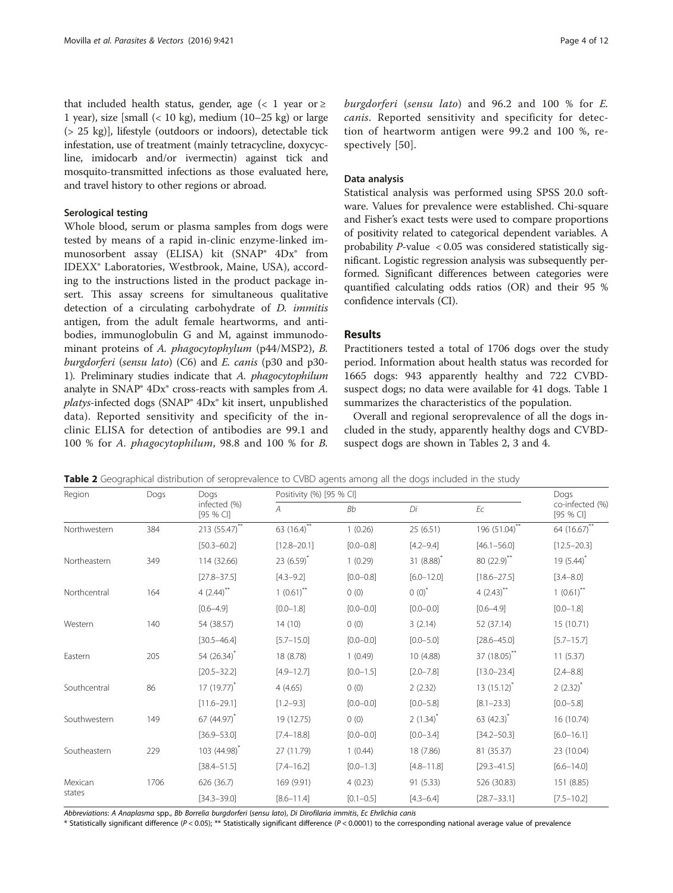that included health status, gender, age  $\left($  < 1 year or  $\geq$ 1 year), size [small  $\left($  < 10 kg), medium (10–25 kg) or large (> 25 kg)], lifestyle (outdoors or indoors), detectable tick infestation, use of treatment (mainly tetracycline, doxycycline, imidocarb and/or ivermectin) against tick and mosquito-transmitted infections as those evaluated here, and travel history to other regions or abroad.

# Serological testing

Whole blood, serum or plasma samples from dogs were tested by means of a rapid in-clinic enzyme-linked immunosorbent assay (ELISA) kit (SNAP® 4Dx® from IDEXX® Laboratories, Westbrook, Maine, USA), according to the instructions listed in the product package insert. This assay screens for simultaneous qualitative detection of a circulating carbohydrate of D. immitis antigen, from the adult female heartworms, and antibodies, immunoglobulin G and M, against immunodominant proteins of A. phagocytophylum (p44/MSP2), B. burgdorferi (sensu lato) (C6) and E. canis (p30 and p30-1). Preliminary studies indicate that A. phagocytophilum analyte in SNAP® 4Dx® cross-reacts with samples from A. platys-infected dogs (SNAP® 4Dx® kit insert, unpublished data). Reported sensitivity and specificity of the inclinic ELISA for detection of antibodies are 99.1 and 100 % for A. phagocytophilum, 98.8 and 100 % for B. burgdorferi (sensu lato) and 96.2 and 100 % for E. canis. Reported sensitivity and specificity for detection of heartworm antigen were 99.2 and 100 %, respectively [[50](#page-11-0)].

# Data analysis

Statistical analysis was performed using SPSS 20.0 software. Values for prevalence were established. Chi-square and Fisher's exact tests were used to compare proportions of positivity related to categorical dependent variables. A probability  $P$ -value < 0.05 was considered statistically significant. Logistic regression analysis was subsequently performed. Significant differences between categories were quantified calculating odds ratios (OR) and their 95 % confidence intervals (CI).

# Results

Practitioners tested a total of 1706 dogs over the study period. Information about health status was recorded for 1665 dogs: 943 apparently healthy and 722 CVBDsuspect dogs; no data were available for 41 dogs. Table [1](#page-2-0) summarizes the characteristics of the population.

Overall and regional seroprevalence of all the dogs included in the study, apparently healthy dogs and CVBDsuspect dogs are shown in Tables 2, [3](#page-4-0) and [4.](#page-5-0)

| Region       | Dogs            | Dogs                      |                  | Positivity (%) [95 % CI] |                 |                         |                              |  |
|--------------|-----------------|---------------------------|------------------|--------------------------|-----------------|-------------------------|------------------------------|--|
|              |                 | infected (%)<br>[95 % CI] | A                | <b>Bb</b>                | Di              | Ec                      | co-infected (%)<br>[95 % CI] |  |
| Northwestern | 384             | $213 (55.47)$ **          | $63 (16.4)^{**}$ | 1(0.26)                  | 25(6.51)        | 196 $(51.04)^{**}$      | 64 (16.67)**                 |  |
|              | $[50.3 - 60.2]$ | $[12.8 - 20.1]$           | $[0.0 - 0.8]$    | $[4.2 - 9.4]$            | $[46.1 - 56.0]$ | $[12.5 - 20.3]$         |                              |  |
| Northeastern | 349             | 114 (32.66)               | 23 $(6.59)^{*}$  | 1(0.29)                  | 31 $(8.88)^{*}$ | 80 (22.9)**             | 19 $(5.44)^*$                |  |
|              |                 | $[27.8 - 37.5]$           | $[4.3 - 9.2]$    | $[0.0 - 0.8]$            | $[6.0 - 12.0]$  | $[18.6 - 27.5]$         | $[3.4 - 8.0]$                |  |
| Northcentral | 164             | $4(2.44)$ **              | $1(0.61)$ **     | 0(0)                     | $0(0)^{*}$      | $4(2.43)$ <sup>**</sup> | $1(0.61)$ **                 |  |
|              |                 | $[0.6 - 4.9]$             | $[0.0 - 1.8]$    | $[0.0 - 0.0]$            | $[0.0 - 0.0]$   | $[0.6 - 4.9]$           | $[0.0 - 1.8]$                |  |
| Western      | 140             | 54 (38.57)                | 14(10)           | 0(0)                     | 3(2.14)         | 52 (37.14)              | 15 (10.71)                   |  |
|              | $[30.5 - 46.4]$ | $[5.7 - 15.0]$            | $[0.0 - 0.0]$    | $[0.0 - 5.0]$            | $[28.6 - 45.0]$ | $[5.7 - 15.7]$          |                              |  |
| Eastern      | 205             | 54 (26.34) <sup>*</sup>   | 18 (8.78)        | 1(0.49)                  | 10 (4.88)       | 37 (18.05)**            | 11(5.37)                     |  |
|              |                 | $[20.5 - 32.2]$           | $[4.9 - 12.7]$   | $[0.0 - 1.5]$            | $[2.0 - 7.8]$   | $[13.0 - 23.4]$         | $[2.4 - 8.8]$                |  |
| Southcentral | 86              | $17(19.77)^{*}$           | 4(4.65)          | 0(0)                     | 2(2.32)         | $13(15.12)^{*}$         | $2(2.32)^{*}$                |  |
|              |                 | $[11.6 - 29.1]$           | $[1.2 - 9.3]$    | $[0.0 - 0.0]$            | $[0.0 - 5.8]$   | $[8.1 - 23.3]$          | $[0.0 - 5.8]$                |  |
| Southwestern | 149             | 67 (44.97) <sup>*</sup>   | 19 (12.75)       | 0(0)                     | $2(1.34)^{*}$   | 63 $(42.3)^{*}$         | 16 (10.74)                   |  |
|              |                 | $[36.9 - 53.0]$           | $[7.4 - 18.8]$   | $[0.0 - 0.0]$            | $[0.0 - 3.4]$   | $[34.2 - 50.3]$         | $[6.0 - 16.1]$               |  |
| Southeastern | 229             | 103 (44.98) <sup>*</sup>  | 27 (11.79)       | 1(0.44)                  | 18 (7.86)       | 81 (35.37)              | 23 (10.04)                   |  |
|              |                 | $[38.4 - 51.5]$           | $[7.4 - 16.2]$   | $[0.0 - 1.3]$            | $[4.8 - 11.8]$  | $[29.3 - 41.5]$         | $[6.6 - 14.0]$               |  |
| Mexican      | 1706            | 626 (36.7)                | 169 (9.91)       | 4(0.23)                  | 91 (5.33)       | 526 (30.83)             | 151 (8.85)                   |  |
| states       | $[34.3 - 39.0]$ | $[8.6 - 11.4]$            | $[0.1 - 0.5]$    | $[4.3 - 6.4]$            | $[28.7 - 33.1]$ | $[7.5 - 10.2]$          |                              |  |

Table 2 Geographical distribution of seroprevalence to CVBD agents among all the dogs included in the study

Abbreviations: A Anaplasma spp., Bb Borrelia burgdorferi (sensu lato), Di Dirofilaria immitis, Ec Ehrlichia canis

\* Statistically significant difference (P < 0.05); \*\* Statistically significant difference (P < 0.0001) to the corresponding national average value of prevalence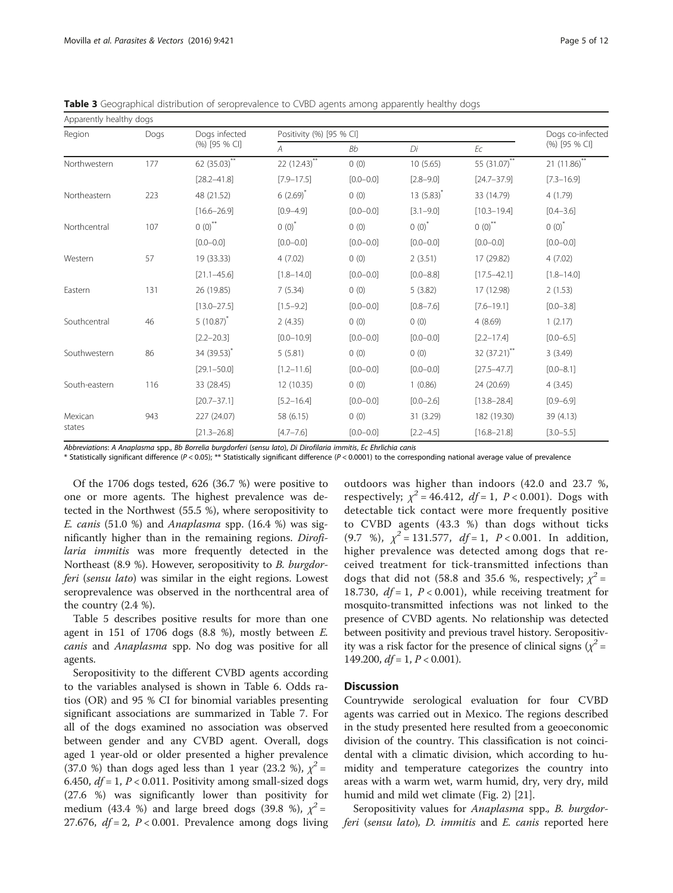<span id="page-4-0"></span>Table 3 Geographical distribution of seroprevalence to CVBD agents among apparently healthy dogs

| Apparently healthy dogs |                 |                           |                |                          |                 |                      |                   |  |
|-------------------------|-----------------|---------------------------|----------------|--------------------------|-----------------|----------------------|-------------------|--|
| Region                  | Dogs            | Dogs infected             |                | Positivity (%) [95 % CI] |                 |                      |                   |  |
|                         |                 | (%) [95 % CI]             | $\overline{A}$ | Bb                       | Di              | Ec                   | (%) [95 % CI]     |  |
| Northwestern            | 177             | 62 (35.03) <sup>**</sup>  | $22(12.43)$ ** | 0(0)                     | 10(5.65)        | 55 (31.07)**         | $21 (11.86)^{**}$ |  |
|                         | $[28.2 - 41.8]$ | $[7.9 - 17.5]$            | $[0.0 - 0.0]$  | $[2.8 - 9.0]$            | $[24.7 - 37.9]$ | $[7.3 - 16.9]$       |                   |  |
| Northeastern            | 223             | 48 (21.52)                | 6(2.69)        | 0(0)                     | $13(5.83)^{*}$  | 33 (14.79)           | 4(1.79)           |  |
|                         |                 | $[16.6 - 26.9]$           | $[0.9 - 4.9]$  | $[0.0 - 0.0]$            | $[3.1 - 9.0]$   | $[10.3 - 19.4]$      | $[0.4 - 3.6]$     |  |
| Northcentral            | 107             | $0$ $\left(0\right)^{**}$ | $0(0)^{*}$     | 0(0)                     | $0(0)^{*}$      | $0(0)$ <sup>**</sup> | $0(0)^{*}$        |  |
|                         |                 | $[0.0 - 0.0]$             | $[0.0 - 0.0]$  | $[0.0 - 0.0]$            | $[0.0 - 0.0]$   | $[0.0 - 0.0]$        | $[0.0 - 0.0]$     |  |
| Western                 | 57              | 19 (33.33)                | 4(7.02)        | 0(0)                     | 2(3.51)         | 17 (29.82)           | 4(7.02)           |  |
|                         | $[21.1 - 45.6]$ | $[1.8 - 14.0]$            | $[0.0 - 0.0]$  | $[0.0 - 8.8]$            | $[17.5 - 42.1]$ | $[1.8 - 14.0]$       |                   |  |
| Eastern                 | 131             | 26 (19.85)                | 7(5.34)        | 0(0)                     | 5(3.82)         | 17 (12.98)           | 2(1.53)           |  |
|                         | $[13.0 - 27.5]$ | $[1.5 - 9.2]$             | $[0.0 - 0.0]$  | $[0.8 - 7.6]$            | $[7.6 - 19.1]$  | $[0.0 - 3.8]$        |                   |  |
| Southcentral            | 46              | $5(10.87)^{*}$            | 2(4.35)        | 0(0)                     | 0(0)            | 4(8.69)              | 1(2.17)           |  |
|                         |                 | $[2.2 - 20.3]$            | $[0.0 - 10.9]$ | $[0.0 - 0.0]$            | $[0.0 - 0.0]$   | $[2.2 - 17.4]$       | $[0.0 - 6.5]$     |  |
| Southwestern            | 86              | 34 (39.53) <sup>*</sup>   | 5(5.81)        | 0(0)                     | 0(0)            | 32 (37.21)**         | 3(3.49)           |  |
|                         |                 | $[29.1 - 50.0]$           | $[1.2 - 11.6]$ | $[0.0 - 0.0]$            | $[0.0 - 0.0]$   | $[27.5 - 47.7]$      | $[0.0 - 8.1]$     |  |
| South-eastern           | 116             | 33 (28.45)                | 12 (10.35)     | 0(0)                     | 1(0.86)         | 24 (20.69)           | 4(3.45)           |  |
|                         | $[20.7 - 37.1]$ | $[5.2 - 16.4]$            | $[0.0 - 0.0]$  | $[0.0 - 2.6]$            | $[13.8 - 28.4]$ | $[0.9 - 6.9]$        |                   |  |
| Mexican                 | 943             | 227 (24.07)               | 58 (6.15)      | 0(0)                     | 31 (3.29)       | 182 (19.30)          | 39 (4.13)         |  |
| states                  |                 | $[21.3 - 26.8]$           | $[4.7 - 7.6]$  | $[0.0 - 0.0]$            | $[2.2 - 4.5]$   | $[16.8 - 21.8]$      | $[3.0 - 5.5]$     |  |

Abbreviations: A Anaplasma spp., Bb Borrelia burgdorferi (sensu lato), Di Dirofilaria immitis, Ec Ehrlichia canis

\* Statistically significant difference (P < 0.05); \*\* Statistically significant difference (P < 0.0001) to the corresponding national average value of prevalence

Of the 1706 dogs tested, 626 (36.7 %) were positive to one or more agents. The highest prevalence was detected in the Northwest (55.5 %), where seropositivity to E. canis (51.0 %) and Anaplasma spp. (16.4 %) was significantly higher than in the remaining regions. Dirofilaria immitis was more frequently detected in the Northeast (8.9 %). However, seropositivity to B. burgdorferi (sensu lato) was similar in the eight regions. Lowest seroprevalence was observed in the northcentral area of the country (2.4 %).

Table [5](#page-6-0) describes positive results for more than one agent in 151 of 1706 dogs  $(8.8 \%)$ , mostly between  $E$ . canis and Anaplasma spp. No dog was positive for all agents.

Seropositivity to the different CVBD agents according to the variables analysed is shown in Table [6](#page-7-0). Odds ratios (OR) and 95 % CI for binomial variables presenting significant associations are summarized in Table [7](#page-8-0). For all of the dogs examined no association was observed between gender and any CVBD agent. Overall, dogs aged 1 year-old or older presented a higher prevalence (37.0 %) than dogs aged less than 1 year (23.2 %),  $\chi^2$  = 6.450,  $df = 1$ ,  $P < 0.011$ . Positivity among small-sized dogs (27.6 %) was significantly lower than positivity for medium (43.4 %) and large breed dogs (39.8 %),  $\chi^2$  = 27.676,  $df = 2$ ,  $P < 0.001$ . Prevalence among dogs living outdoors was higher than indoors (42.0 and 23.7 %, respectively;  $\chi^2 = 46.412$ ,  $df = 1$ ,  $P < 0.001$ ). Dogs with detectable tick contact were more frequently positive to CVBD agents (43.3 %) than dogs without ticks (9.7 %),  $\chi^2 = 131.577$ ,  $df = 1$ ,  $P < 0.001$ . In addition, higher prevalence was detected among dogs that received treatment for tick-transmitted infections than dogs that did not (58.8 and 35.6 %, respectively;  $\chi^2$  = 18.730,  $df = 1$ ,  $P < 0.001$ ), while receiving treatment for mosquito-transmitted infections was not linked to the presence of CVBD agents. No relationship was detected between positivity and previous travel history. Seropositivity was a risk factor for the presence of clinical signs ( $\chi^2$  = 149.200,  $df = 1, P < 0.001$ ).

# **Discussion**

Countrywide serological evaluation for four CVBD agents was carried out in Mexico. The regions described in the study presented here resulted from a geoeconomic division of the country. This classification is not coincidental with a climatic division, which according to humidity and temperature categorizes the country into areas with a warm wet, warm humid, dry, very dry, mild humid and mild wet climate (Fig. [2](#page-9-0)) [\[21](#page-10-0)].

Seropositivity values for *Anaplasma* spp., *B. burgdor*feri (sensu lato), D. immitis and E. canis reported here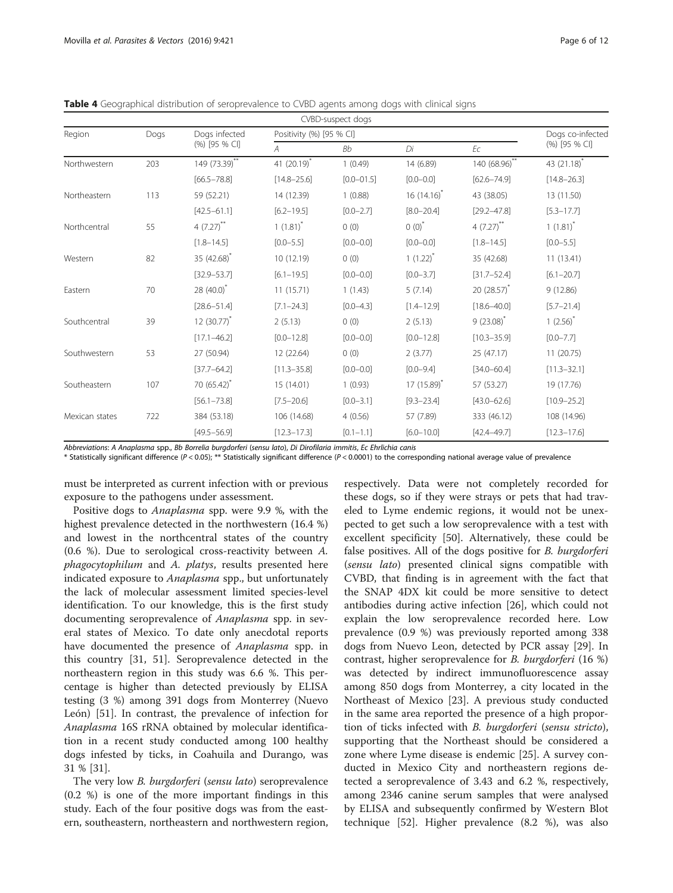<span id="page-5-0"></span>Table 4 Geographical distribution of seroprevalence to CVBD agents among dogs with clinical signs

|                |               |                         |                         | CVBD-suspect dogs        |                 |                 |                 |  |
|----------------|---------------|-------------------------|-------------------------|--------------------------|-----------------|-----------------|-----------------|--|
| Region         | Dogs          | Dogs infected           |                         | Positivity (%) [95 % CI] |                 |                 |                 |  |
|                | (%) [95 % CI] | $\overline{A}$          | Bb                      | Di                       | Ec              | (%) [95 % CI]   |                 |  |
| Northwestern   | 203           | $149 (73.39)$ **        | 41 (20.19) <sup>*</sup> | 1(0.49)                  | 14 (6.89)       | $140(68.96)$ ** | 43 (21.18)*     |  |
|                |               | $[66.5 - 78.8]$         | $[14.8 - 25.6]$         | $[0.0 - 01.5]$           | $[0.0 - 0.0]$   | $[62.6 - 74.9]$ | $[14.8 - 26.3]$ |  |
| Northeastern   | 113           | 59 (52.21)              | 14 (12.39)              | 1(0.88)                  | $16(14.16)^{*}$ | 43 (38.05)      | 13 (11.50)      |  |
|                |               | $[42.5 - 61.1]$         | $[6.2 - 19.5]$          | $[0.0 - 2.7]$            | $[8.0 - 20.4]$  | $[29.2 - 47.8]$ | $[5.3 - 17.7]$  |  |
| Northcentral   | 55            | $4(7.27)$ **            | $1(1.81)^{*}$           | 0(0)                     | $0(0)^{*}$      | $4 (7.27)$ **   | $1(1.81)^{*}$   |  |
|                |               | $[1.8 - 14.5]$          | $[0.0 - 5.5]$           | $[0.0 - 0.0]$            | $[0.0 - 0.0]$   | $[1.8 - 14.5]$  | $[0.0 - 5.5]$   |  |
| Western        | 82            | 35 (42.68) <sup>*</sup> | 10 (12.19)              | 0(0)                     | $1(1.22)^{*}$   | 35 (42.68)      | 11(13.41)       |  |
|                |               | $[32.9 - 53.7]$         | $[6.1 - 19.5]$          | $[0.0 - 0.0]$            | $[0.0 - 3.7]$   | $[31.7 - 52.4]$ | $[6.1 - 20.7]$  |  |
| Eastern        | 70            | $28(40.0)^{*}$          | 11(15.71)               | 1(1.43)                  | 5(7.14)         | $20(28.57)^{n}$ | 9(12.86)        |  |
|                |               | $[28.6 - 51.4]$         | $[7.1 - 24.3]$          | $[0.0 - 4.3]$            | $[1.4 - 12.9]$  | $[18.6 - 40.0]$ | $[5.7 - 21.4]$  |  |
| Southcentral   | 39            | $12(30.77)^{*}$         | 2(5.13)                 | 0(0)                     | 2(5.13)         | $9(23.08)^{*}$  | $1(2.56)^{*}$   |  |
|                |               | $[17.1 - 46.2]$         | $[0.0 - 12.8]$          | $[0.0 - 0.0]$            | $[0.0 - 12.8]$  | $[10.3 - 35.9]$ | $[0.0 - 7.7]$   |  |
| Southwestern   | 53            | 27 (50.94)              | 12 (22.64)              | 0(0)                     | 2(3.77)         | 25 (47.17)      | 11(20.75)       |  |
|                |               | $[37.7 - 64.2]$         | $[11.3 - 35.8]$         | $[0.0 - 0.0]$            | $[0.0 - 9.4]$   | $[34.0 - 60.4]$ | $[11.3 - 32.1]$ |  |
| Southeastern   | 107           | 70 (65.42)*             | 15 (14.01)              | 1(0.93)                  | $17(15.89)^{*}$ | 57 (53.27)      | 19 (17.76)      |  |
|                |               | $[56.1 - 73.8]$         | $[7.5 - 20.6]$          | $[0.0 - 3.1]$            | $[9.3 - 23.4]$  | $[43.0 - 62.6]$ | $[10.9 - 25.2]$ |  |
| Mexican states | 722           | 384 (53.18)             | 106 (14.68)             | 4(0.56)                  | 57 (7.89)       | 333 (46.12)     | 108 (14.96)     |  |
|                |               | $[49.5 - 56.9]$         | $[12.3 - 17.3]$         | $[0.1 - 1.1]$            | $[6.0 - 10.0]$  | $[42.4 - 49.7]$ | $[12.3 - 17.6]$ |  |

Abbreviations: A Anaplasma spp., Bb Borrelia burgdorferi (sensu lato), Di Dirofilaria immitis, Ec Ehrlichia canis

\* Statistically significant difference (P < 0.05); \*\* Statistically significant difference (P < 0.0001) to the corresponding national average value of prevalence

must be interpreted as current infection with or previous exposure to the pathogens under assessment.

Positive dogs to Anaplasma spp. were 9.9 %, with the highest prevalence detected in the northwestern (16.4 %) and lowest in the northcentral states of the country (0.6 %). Due to serological cross-reactivity between A. phagocytophilum and A. platys, results presented here indicated exposure to Anaplasma spp., but unfortunately the lack of molecular assessment limited species-level identification. To our knowledge, this is the first study documenting seroprevalence of Anaplasma spp. in several states of Mexico. To date only anecdotal reports have documented the presence of Anaplasma spp. in this country [[31,](#page-10-0) [51](#page-11-0)]. Seroprevalence detected in the northeastern region in this study was 6.6 %. This percentage is higher than detected previously by ELISA testing (3 %) among 391 dogs from Monterrey (Nuevo León) [[51\]](#page-11-0). In contrast, the prevalence of infection for Anaplasma 16S rRNA obtained by molecular identification in a recent study conducted among 100 healthy dogs infested by ticks, in Coahuila and Durango, was 31 % [\[31](#page-10-0)].

The very low *B. burgdorferi* (sensu lato) seroprevalence (0.2 %) is one of the more important findings in this study. Each of the four positive dogs was from the eastern, southeastern, northeastern and northwestern region,

respectively. Data were not completely recorded for these dogs, so if they were strays or pets that had traveled to Lyme endemic regions, it would not be unexpected to get such a low seroprevalence with a test with excellent specificity [[50\]](#page-11-0). Alternatively, these could be false positives. All of the dogs positive for *B. burgdorferi* (sensu lato) presented clinical signs compatible with CVBD, that finding is in agreement with the fact that the SNAP 4DX kit could be more sensitive to detect antibodies during active infection [\[26](#page-10-0)], which could not explain the low seroprevalence recorded here. Low prevalence (0.9 %) was previously reported among 338 dogs from Nuevo Leon, detected by PCR assay [[29\]](#page-10-0). In contrast, higher seroprevalence for B. burgdorferi (16 %) was detected by indirect immunofluorescence assay among 850 dogs from Monterrey, a city located in the Northeast of Mexico [[23\]](#page-10-0). A previous study conducted in the same area reported the presence of a high proportion of ticks infected with B. burgdorferi (sensu stricto), supporting that the Northeast should be considered a zone where Lyme disease is endemic [\[25](#page-10-0)]. A survey conducted in Mexico City and northeastern regions detected a seroprevalence of 3.43 and 6.2 %, respectively, among 2346 canine serum samples that were analysed by ELISA and subsequently confirmed by Western Blot technique [[52](#page-11-0)]. Higher prevalence (8.2 %), was also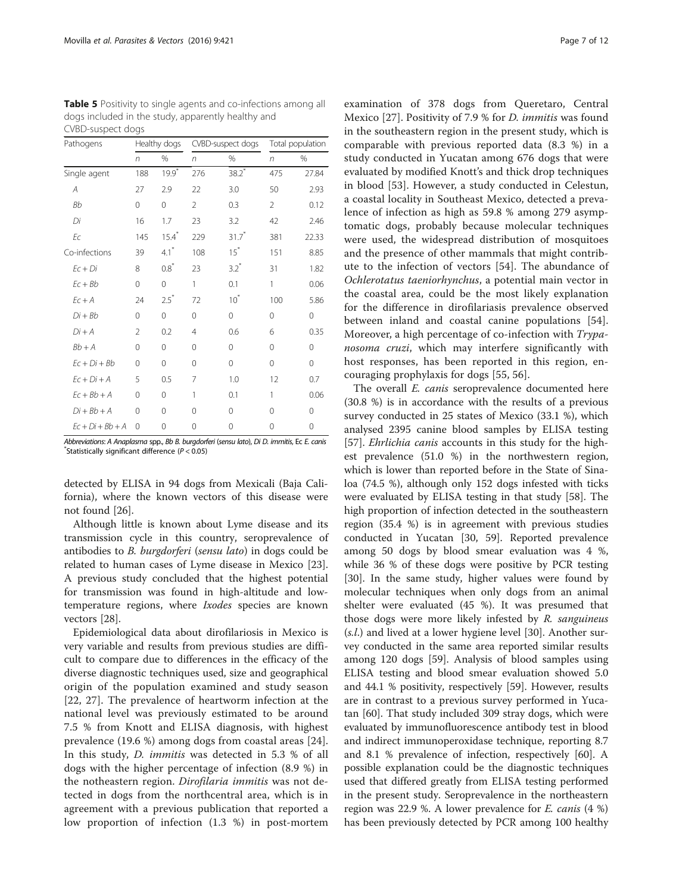| Pathogens          |             | Healthy dogs        |                | CVBD-suspect dogs   |                | Total population |  |
|--------------------|-------------|---------------------|----------------|---------------------|----------------|------------------|--|
|                    | $\sqrt{n}$  | %                   | n              | %                   | n              | %                |  |
| Single agent       | 188         | $19.9*$             | 276            | $38.2*$             | 475            | 27.84            |  |
| А                  | 27          | 2.9                 | 22             | 3.0                 | 50             | 2.93             |  |
| <b>Bb</b>          | $\mathbf 0$ | 0                   | $\mathfrak{D}$ | 0.3                 | $\overline{2}$ | 0.12             |  |
| Di                 | 16          | 1.7                 | 23             | 3.2                 | 42             | 2.46             |  |
| Ec                 | 145         | $15.4$ <sup>*</sup> | 229            | $31.7$ <sup>*</sup> | 381            | 22.33            |  |
| Co-infections      | 39          | $4.1$ <sup>*</sup>  | 108            | $15^*$              | 151            | 8.85             |  |
| $Ec + Di$          | 8           | $0.8^{*}$           | 23             | $3.2^*$             | 31             | 1.82             |  |
| $Ec + Bb$          | $\mathbf 0$ | $\mathbf{0}$        | 1              | 0.1                 | 1              | 0.06             |  |
| $Ec + A$           | 24          | $2.5^*$             | 72             | $10^*$              | 100            | 5.86             |  |
| $Di + Bb$          | $\Omega$    | $\mathbf{0}$        | $\Omega$       | $\Omega$            | $\Omega$       | 0                |  |
| $Di + A$           | 2           | 0.2                 | 4              | 0.6                 | 6              | 0.35             |  |
| $Bb+A$             | $\Omega$    | $\Omega$            | $\Omega$       | $\Omega$            | $\Omega$       | 0                |  |
| $Fc + Di + Bb$     | 0           | $\Omega$            | $\Omega$       | $\Omega$            | $\Omega$       | 0                |  |
| $Ec + Di + A$      | 5           | 0.5                 | 7              | 1.0                 | 12             | 0.7              |  |
| $Ec + Bb + A$      | $\Omega$    | $\Omega$            | 1              | 0.1                 | 1              | 0.06             |  |
| $Di + Bb + A$      | $\Omega$    | $\Omega$            | $\Omega$       | $\Omega$            | $\Omega$       | 0                |  |
| $Fc + Di + Bb + A$ | $\Omega$    | 0                   | $\Omega$       | 0                   | 0              | 0                |  |

<span id="page-6-0"></span>Table 5 Positivity to single agents and co-infections among all dogs included in the study, apparently healthy and CVBD-suspect dogs

Abbreviations: A Anaplasma spp., Bb B. burgdorferi (sensu lato), Di D. immitis, Ec E. canis \*  $*$ Statistically significant difference ( $P < 0.05$ )

detected by ELISA in 94 dogs from Mexicali (Baja California), where the known vectors of this disease were not found [\[26](#page-10-0)].

Although little is known about Lyme disease and its transmission cycle in this country, seroprevalence of antibodies to B. burgdorferi (sensu lato) in dogs could be related to human cases of Lyme disease in Mexico [\[23](#page-10-0)]. A previous study concluded that the highest potential for transmission was found in high-altitude and lowtemperature regions, where Ixodes species are known vectors [[28\]](#page-10-0).

Epidemiological data about dirofilariosis in Mexico is very variable and results from previous studies are difficult to compare due to differences in the efficacy of the diverse diagnostic techniques used, size and geographical origin of the population examined and study season [[22, 27](#page-10-0)]. The prevalence of heartworm infection at the national level was previously estimated to be around 7.5 % from Knott and ELISA diagnosis, with highest prevalence (19.6 %) among dogs from coastal areas [\[24](#page-10-0)]. In this study, D. immitis was detected in 5.3 % of all dogs with the higher percentage of infection (8.9 %) in the notheastern region. Dirofilaria immitis was not detected in dogs from the northcentral area, which is in agreement with a previous publication that reported a low proportion of infection (1.3 %) in post-mortem

examination of 378 dogs from Queretaro, Central Mexico [[27](#page-10-0)]. Positivity of 7.9 % for D. immitis was found in the southeastern region in the present study, which is comparable with previous reported data (8.3 %) in a study conducted in Yucatan among 676 dogs that were evaluated by modified Knott's and thick drop techniques in blood [[53\]](#page-11-0). However, a study conducted in Celestun, a coastal locality in Southeast Mexico, detected a prevalence of infection as high as 59.8 % among 279 asymptomatic dogs, probably because molecular techniques were used, the widespread distribution of mosquitoes and the presence of other mammals that might contribute to the infection of vectors [[54\]](#page-11-0). The abundance of Ochlerotatus taeniorhynchus, a potential main vector in the coastal area, could be the most likely explanation for the difference in dirofilariasis prevalence observed between inland and coastal canine populations [\[54](#page-11-0)]. Moreover, a high percentage of co-infection with Trypanosoma cruzi, which may interfere significantly with host responses, has been reported in this region, encouraging prophylaxis for dogs [[55, 56\]](#page-11-0).

The overall *E. canis* seroprevalence documented here (30.8 %) is in accordance with the results of a previous survey conducted in 25 states of Mexico (33.1 %), which analysed 2395 canine blood samples by ELISA testing [[57\]](#page-11-0). *Ehrlichia canis* accounts in this study for the highest prevalence (51.0 %) in the northwestern region, which is lower than reported before in the State of Sinaloa (74.5 %), although only 152 dogs infested with ticks were evaluated by ELISA testing in that study [[58](#page-11-0)]. The high proportion of infection detected in the southeastern region (35.4 %) is in agreement with previous studies conducted in Yucatan [\[30](#page-10-0), [59\]](#page-11-0). Reported prevalence among 50 dogs by blood smear evaluation was 4 %, while 36 % of these dogs were positive by PCR testing [[30\]](#page-10-0). In the same study, higher values were found by molecular techniques when only dogs from an animal shelter were evaluated (45 %). It was presumed that those dogs were more likely infested by R. sanguineus (s.l.) and lived at a lower hygiene level [\[30](#page-10-0)]. Another survey conducted in the same area reported similar results among 120 dogs [\[59](#page-11-0)]. Analysis of blood samples using ELISA testing and blood smear evaluation showed 5.0 and 44.1 % positivity, respectively [\[59](#page-11-0)]. However, results are in contrast to a previous survey performed in Yucatan [[60\]](#page-11-0). That study included 309 stray dogs, which were evaluated by immunofluorescence antibody test in blood and indirect immunoperoxidase technique, reporting 8.7 and 8.1 % prevalence of infection, respectively [[60\]](#page-11-0). A possible explanation could be the diagnostic techniques used that differed greatly from ELISA testing performed in the present study. Seroprevalence in the northeastern region was 22.9 %. A lower prevalence for  $E$ . *canis*  $(4 \%)$ has been previously detected by PCR among 100 healthy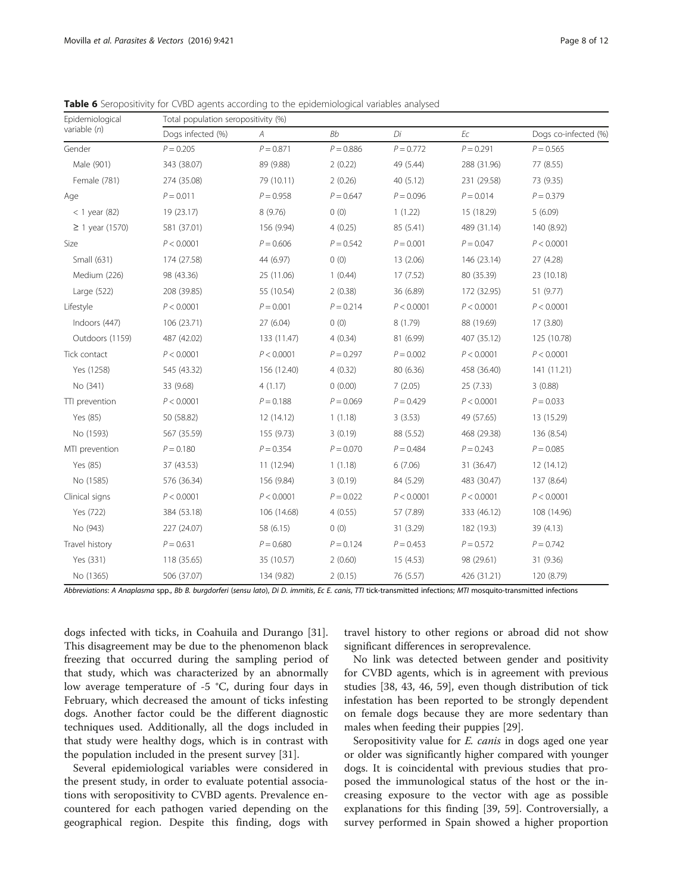| Epidemiological   | Total population seropositivity (%) |             |             |             |             |                      |  |  |
|-------------------|-------------------------------------|-------------|-------------|-------------|-------------|----------------------|--|--|
| variable $(n)$    | Dogs infected (%)                   | A           | <b>Bb</b>   | Di          | Ec          | Dogs co-infected (%) |  |  |
| Gender            | $P = 0.205$                         | $P = 0.871$ | $P = 0.886$ | $P = 0.772$ | $P = 0.291$ | $P = 0.565$          |  |  |
| Male (901)        | 343 (38.07)                         | 89 (9.88)   | 2(0.22)     | 49 (5.44)   | 288 (31.96) | 77 (8.55)            |  |  |
| Female (781)      | 274 (35.08)                         | 79 (10.11)  | 2(0.26)     | 40(5.12)    | 231 (29.58) | 73 (9.35)            |  |  |
| Age               | $P = 0.011$                         | $P = 0.958$ | $P = 0.647$ | $P = 0.096$ | $P = 0.014$ | $P = 0.379$          |  |  |
| $<$ 1 year (82)   | 19 (23.17)                          | 8(9.76)     | 0(0)        | 1(1.22)     | 15 (18.29)  | 5(6.09)              |  |  |
| $≥ 1$ year (1570) | 581 (37.01)                         | 156 (9.94)  | 4(0.25)     | 85 (5.41)   | 489 (31.14) | 140 (8.92)           |  |  |
| Size              | P < 0.0001                          | $P = 0.606$ | $P = 0.542$ | $P = 0.001$ | $P = 0.047$ | P < 0.0001           |  |  |
| Small (631)       | 174 (27.58)                         | 44 (6.97)   | 0(0)        | 13 (2.06)   | 146 (23.14) | 27 (4.28)            |  |  |
| Medium (226)      | 98 (43.36)                          | 25 (11.06)  | 1(0.44)     | 17(7.52)    | 80 (35.39)  | 23 (10.18)           |  |  |
| Large (522)       | 208 (39.85)                         | 55 (10.54)  | 2(0.38)     | 36 (6.89)   | 172 (32.95) | 51 (9.77)            |  |  |
| Lifestyle         | P < 0.0001                          | $P = 0.001$ | $P = 0.214$ | P < 0.0001  | P < 0.0001  | P < 0.0001           |  |  |
| Indoors (447)     | 106 (23.71)                         | 27 (6.04)   | 0(0)        | 8(1.79)     | 88 (19.69)  | 17 (3.80)            |  |  |
| Outdoors (1159)   | 487 (42.02)                         | 133 (11.47) | 4(0.34)     | 81 (6.99)   | 407 (35.12) | 125 (10.78)          |  |  |
| Tick contact      | P < 0.0001                          | P < 0.0001  | $P = 0.297$ | $P = 0.002$ | P < 0.0001  | P < 0.0001           |  |  |
| Yes (1258)        | 545 (43.32)                         | 156 (12.40) | 4(0.32)     | 80 (6.36)   | 458 (36.40) | 141 (11.21)          |  |  |
| No (341)          | 33 (9.68)                           | 4(1.17)     | 0(0.00)     | 7(2.05)     | 25 (7.33)   | 3(0.88)              |  |  |
| TTI prevention    | P < 0.0001                          | $P = 0.188$ | $P = 0.069$ | $P = 0.429$ | P < 0.0001  | $P = 0.033$          |  |  |
| Yes (85)          | 50 (58.82)                          | 12 (14.12)  | 1(1.18)     | 3(3.53)     | 49 (57.65)  | 13 (15.29)           |  |  |
| No (1593)         | 567 (35.59)                         | 155 (9.73)  | 3(0.19)     | 88 (5.52)   | 468 (29.38) | 136 (8.54)           |  |  |
| MTI prevention    | $P = 0.180$                         | $P = 0.354$ | $P = 0.070$ | $P = 0.484$ | $P = 0.243$ | $P = 0.085$          |  |  |
| Yes (85)          | 37 (43.53)                          | 11 (12.94)  | 1(1.18)     | 6(7.06)     | 31 (36.47)  | 12 (14.12)           |  |  |
| No (1585)         | 576 (36.34)                         | 156 (9.84)  | 3(0.19)     | 84 (5.29)   | 483 (30.47) | 137 (8.64)           |  |  |
| Clinical signs    | P < 0.0001                          | P < 0.0001  | $P = 0.022$ | P < 0.0001  | P < 0.0001  | P < 0.0001           |  |  |
| Yes (722)         | 384 (53.18)                         | 106 (14.68) | 4(0.55)     | 57 (7.89)   | 333 (46.12) | 108 (14.96)          |  |  |
| No (943)          | 227 (24.07)                         | 58 (6.15)   | 0(0)        | 31 (3.29)   | 182 (19.3)  | 39 (4.13)            |  |  |
| Travel history    | $P = 0.631$                         | $P = 0.680$ | $P = 0.124$ | $P = 0.453$ | $P = 0.572$ | $P = 0.742$          |  |  |
| Yes (331)         | 118 (35.65)                         | 35 (10.57)  | 2(0.60)     | 15(4.53)    | 98 (29.61)  | 31 (9.36)            |  |  |
| No (1365)         | 506 (37.07)                         | 134 (9.82)  | 2(0.15)     | 76 (5.57)   | 426 (31.21) | 120 (8.79)           |  |  |

<span id="page-7-0"></span>Table 6 Seropositivity for CVBD agents according to the epidemiological variables analysed

Abbreviations: A Anaplasma spp., Bb B. burgdorferi (sensu lato), Di D. immitis, Ec E. canis, TTI tick-transmitted infections; MTI mosquito-transmitted infections

dogs infected with ticks, in Coahuila and Durango [\[31](#page-10-0)]. This disagreement may be due to the phenomenon black freezing that occurred during the sampling period of that study, which was characterized by an abnormally low average temperature of -5 °C, during four days in February, which decreased the amount of ticks infesting dogs. Another factor could be the different diagnostic techniques used. Additionally, all the dogs included in that study were healthy dogs, which is in contrast with the population included in the present survey [[31\]](#page-10-0).

Several epidemiological variables were considered in the present study, in order to evaluate potential associations with seropositivity to CVBD agents. Prevalence encountered for each pathogen varied depending on the geographical region. Despite this finding, dogs with

travel history to other regions or abroad did not show significant differences in seroprevalence.

No link was detected between gender and positivity for CVBD agents, which is in agreement with previous studies [[38,](#page-10-0) [43](#page-11-0), [46, 59\]](#page-11-0), even though distribution of tick infestation has been reported to be strongly dependent on female dogs because they are more sedentary than males when feeding their puppies [\[29](#page-10-0)].

Seropositivity value for *E. canis* in dogs aged one year or older was significantly higher compared with younger dogs. It is coincidental with previous studies that proposed the immunological status of the host or the increasing exposure to the vector with age as possible explanations for this finding [[39,](#page-10-0) [59\]](#page-11-0). Controversially, a survey performed in Spain showed a higher proportion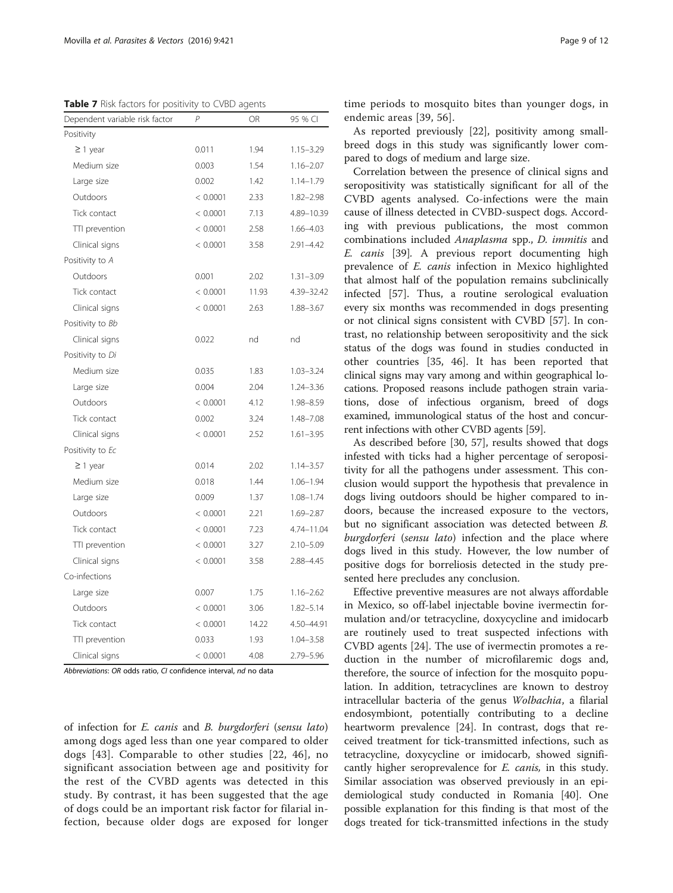<span id="page-8-0"></span>Table 7 Risk factors for positivity to CVBD agents

| Dependent variable risk factor | P        | OR    | 95 % CI       |
|--------------------------------|----------|-------|---------------|
| Positivity                     |          |       |               |
| $\geq$ 1 year                  | 0.011    | 1.94  | $1.15 - 3.29$ |
| Medium size                    | 0.003    | 1.54  | $1.16 - 2.07$ |
| Large size                     | 0.002    | 1.42  | 1.14-1.79     |
| Outdoors                       | < 0.0001 | 2.33  | $1.82 - 2.98$ |
| Tick contact                   | < 0.0001 | 7.13  | 4.89-10.39    |
| TTI prevention                 | < 0.0001 | 2.58  | $1.66 - 4.03$ |
| Clinical signs                 | < 0.0001 | 3.58  | $2.91 - 4.42$ |
| Positivity to A                |          |       |               |
| Outdoors                       | 0.001    | 2.02  | $1.31 - 3.09$ |
| Tick contact                   | < 0.0001 | 11.93 | 4.39-32.42    |
| Clinical signs                 | < 0.0001 | 2.63  | 1.88-3.67     |
| Positivity to Bb               |          |       |               |
| Clinical signs                 | 0.022    | nd    | nd            |
| Positivity to Di               |          |       |               |
| Medium size                    | 0.035    | 1.83  | $1.03 - 3.24$ |
| Large size                     | 0.004    | 2.04  | $1.24 - 3.36$ |
| Outdoors                       | < 0.0001 | 4.12  | 1.98-8.59     |
| Tick contact                   | 0.002    | 3.24  | 1.48-7.08     |
| Clinical signs                 | < 0.0001 | 2.52  | $1.61 - 3.95$ |
| Positivity to Ec               |          |       |               |
| $\geq$ 1 year                  | 0.014    | 2.02  | $1.14 - 3.57$ |
| Medium size                    | 0.018    | 1.44  | $1.06 - 1.94$ |
| Large size                     | 0.009    | 1.37  | $1.08 - 1.74$ |
| Outdoors                       | < 0.0001 | 2.21  | 1.69-2.87     |
| Tick contact                   | < 0.0001 | 7.23  | 4.74-11.04    |
| TTI prevention                 | < 0.0001 | 3.27  | $2.10 - 5.09$ |
| Clinical signs                 | < 0.0001 | 3.58  | 2.88-4.45     |
| Co-infections                  |          |       |               |
| Large size                     | 0.007    | 1.75  | $1.16 - 2.62$ |
| Outdoors                       | < 0.0001 | 3.06  | $1.82 - 5.14$ |
| Tick contact                   | < 0.0001 | 14.22 | 4.50-44.91    |
| TTI prevention                 | 0.033    | 1.93  | $1.04 - 3.58$ |
| Clinical signs                 | < 0.0001 | 4.08  | 2.79-5.96     |

Abbreviations: OR odds ratio, CI confidence interval, nd no data

of infection for E. canis and B. burgdorferi (sensu lato) among dogs aged less than one year compared to older dogs [[43\]](#page-11-0). Comparable to other studies [\[22,](#page-10-0) [46](#page-11-0)], no significant association between age and positivity for the rest of the CVBD agents was detected in this study. By contrast, it has been suggested that the age of dogs could be an important risk factor for filarial infection, because older dogs are exposed for longer time periods to mosquito bites than younger dogs, in endemic areas [\[39,](#page-10-0) [56\]](#page-11-0).

As reported previously [\[22](#page-10-0)], positivity among smallbreed dogs in this study was significantly lower compared to dogs of medium and large size.

Correlation between the presence of clinical signs and seropositivity was statistically significant for all of the CVBD agents analysed. Co-infections were the main cause of illness detected in CVBD-suspect dogs. According with previous publications, the most common combinations included Anaplasma spp., D. immitis and E. canis [\[39\]](#page-10-0). A previous report documenting high prevalence of E. canis infection in Mexico highlighted that almost half of the population remains subclinically infected [\[57\]](#page-11-0). Thus, a routine serological evaluation every six months was recommended in dogs presenting or not clinical signs consistent with CVBD [\[57](#page-11-0)]. In contrast, no relationship between seropositivity and the sick status of the dogs was found in studies conducted in other countries [[35,](#page-10-0) [46](#page-11-0)]. It has been reported that clinical signs may vary among and within geographical locations. Proposed reasons include pathogen strain variations, dose of infectious organism, breed of dogs examined, immunological status of the host and concurrent infections with other CVBD agents [\[59](#page-11-0)].

As described before [[30](#page-10-0), [57\]](#page-11-0), results showed that dogs infested with ticks had a higher percentage of seropositivity for all the pathogens under assessment. This conclusion would support the hypothesis that prevalence in dogs living outdoors should be higher compared to indoors, because the increased exposure to the vectors, but no significant association was detected between B. burgdorferi (sensu lato) infection and the place where dogs lived in this study. However, the low number of positive dogs for borreliosis detected in the study presented here precludes any conclusion.

Effective preventive measures are not always affordable in Mexico, so off-label injectable bovine ivermectin formulation and/or tetracycline, doxycycline and imidocarb are routinely used to treat suspected infections with CVBD agents [[24](#page-10-0)]. The use of ivermectin promotes a reduction in the number of microfilaremic dogs and, therefore, the source of infection for the mosquito population. In addition, tetracyclines are known to destroy intracellular bacteria of the genus Wolbachia, a filarial endosymbiont, potentially contributing to a decline heartworm prevalence [[24](#page-10-0)]. In contrast, dogs that received treatment for tick-transmitted infections, such as tetracycline, doxycycline or imidocarb, showed significantly higher seroprevalence for *E. canis*, in this study. Similar association was observed previously in an epidemiological study conducted in Romania [[40](#page-11-0)]. One possible explanation for this finding is that most of the dogs treated for tick-transmitted infections in the study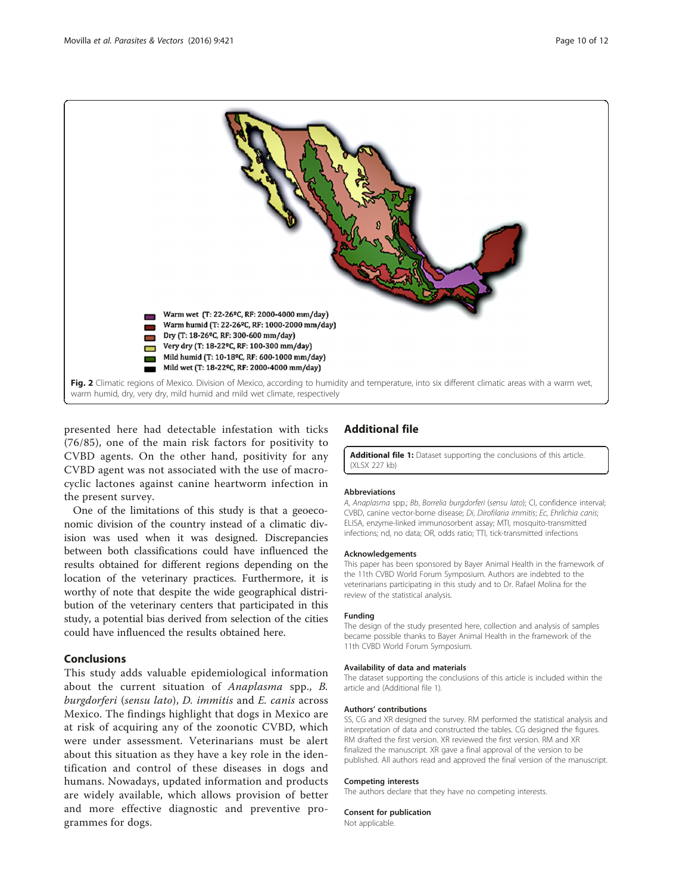<span id="page-9-0"></span>

presented here had detectable infestation with ticks (76/85), one of the main risk factors for positivity to CVBD agents. On the other hand, positivity for any CVBD agent was not associated with the use of macrocyclic lactones against canine heartworm infection in the present survey.

One of the limitations of this study is that a geoeconomic division of the country instead of a climatic division was used when it was designed. Discrepancies between both classifications could have influenced the results obtained for different regions depending on the location of the veterinary practices. Furthermore, it is worthy of note that despite the wide geographical distribution of the veterinary centers that participated in this study, a potential bias derived from selection of the cities could have influenced the results obtained here.

# Conclusions

This study adds valuable epidemiological information about the current situation of Anaplasma spp., B. burgdorferi (sensu lato), D. immitis and E. canis across Mexico. The findings highlight that dogs in Mexico are at risk of acquiring any of the zoonotic CVBD, which were under assessment. Veterinarians must be alert about this situation as they have a key role in the identification and control of these diseases in dogs and humans. Nowadays, updated information and products are widely available, which allows provision of better and more effective diagnostic and preventive programmes for dogs.

# Additional file

[Additional file 1:](dx.doi.org/10.1186/s13071-016-1686-z) Dataset supporting the conclusions of this article. (XI SX 227 kb)

## **Abbreviations**

A, Anaplasma spp.; Bb, Borrelia burgdorferi (sensu lato); CI, confidence interval; CVBD, canine vector-borne disease; Di, Dirofilaria immitis; Ec, Ehrlichia canis; ELISA, enzyme-linked immunosorbent assay; MTI, mosquito-transmitted infections; nd, no data; OR, odds ratio; TTI, tick-transmitted infections

#### Acknowledgements

This paper has been sponsored by Bayer Animal Health in the framework of the 11th CVBD World Forum Symposium. Authors are indebted to the veterinarians participating in this study and to Dr. Rafael Molina for the review of the statistical analysis.

### Funding

The design of the study presented here, collection and analysis of samples became possible thanks to Bayer Animal Health in the framework of the 11th CVBD World Forum Symposium.

#### Availability of data and materials

The dataset supporting the conclusions of this article is included within the article and (Additional file 1).

#### Authors' contributions

SS, CG and XR designed the survey. RM performed the statistical analysis and interpretation of data and constructed the tables. CG designed the figures. RM drafted the first version. XR reviewed the first version. RM and XR finalized the manuscript. XR gave a final approval of the version to be published. All authors read and approved the final version of the manuscript.

## Competing interests

The authors declare that they have no competing interests.

#### Consent for publication

Not applicable.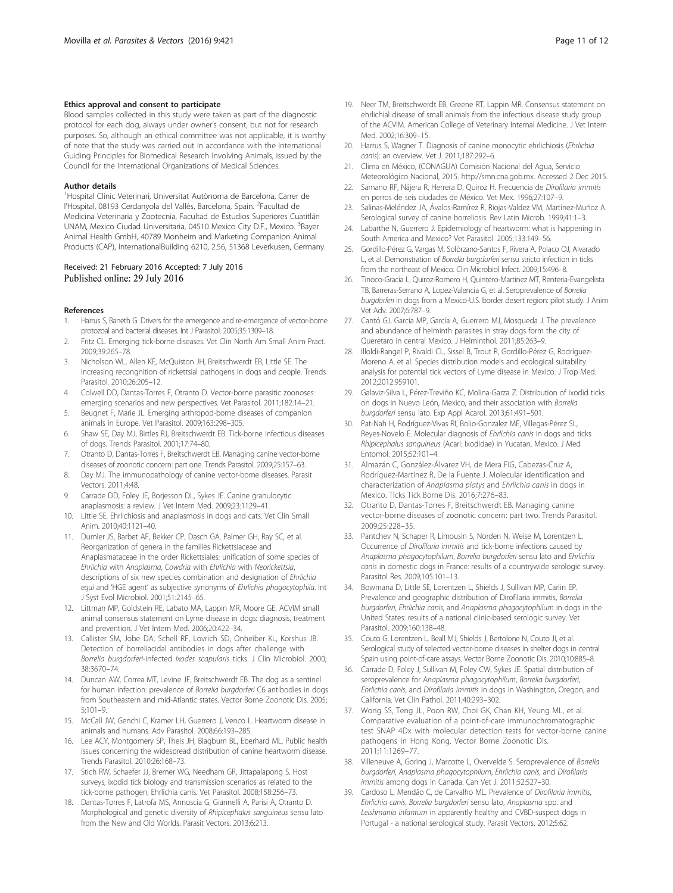## <span id="page-10-0"></span>Ethics approval and consent to participate

Blood samples collected in this study were taken as part of the diagnostic protocol for each dog, always under owner's consent, but not for research purposes. So, although an ethical committee was not applicable, it is worthy of note that the study was carried out in accordance with the International Guiding Principles for Biomedical Research Involving Animals, issued by the Council for the International Organizations of Medical Sciences.

#### Author details

<sup>1</sup>Hospital Clínic Veterinari, Universitat Autònoma de Barcelona, Carrer de l'Hospital, 08193 Cerdanyola del Vallès, Barcelona, Spain. <sup>2</sup>Facultad de Medicina Veterinaria y Zootecnia, Facultad de Estudios Superiores Cuatitlán UNAM, Mexico Ciudad Universitaria, 04510 Mexico City D.F., Mexico. <sup>3</sup>Bayer Animal Health GmbH, 40789 Monheim and Marketing Companion Animal Products (CAP), InternationalBuilding 6210, 2.56, 51368 Leverkusen, Germany.

## Received: 21 February 2016 Accepted: 7 July 2016 Published online: 29 July 2016

#### References

- Harrus S, Baneth G. Drivers for the emergence and re-emergence of vector-borne protozoal and bacterial diseases. Int J Parasitol. 2005;35:1309–18.
- 2. Fritz CL. Emerging tick-borne diseases. Vet Clin North Am Small Anim Pract. 2009;39:265–78.
- 3. Nicholson WL, Allen KE, McQuiston JH, Breitschwerdt EB, Little SE. The increasing recongnition of rickettsial pathogens in dogs and people. Trends Parasitol. 2010;26:205–12.
- 4. Colwell DD, Dantas-Torres F, Otranto D. Vector-borne parasitic zoonoses: emerging scenarios and new perspectives. Vet Parasitol. 2011;182:14–21.
- 5. Beugnet F, Marie JL. Emerging arthropod-borne diseases of companion animals in Europe. Vet Parasitol. 2009;163:298–305.
- 6. Shaw SE, Day MJ, Birtles RJ, Breitschwerdt EB. Tick-borne infectious diseases of dogs. Trends Parasitol. 2001;17:74–80.
- 7. Otranto D, Dantas-Torres F, Breitschwerdt EB. Managing canine vector-borne diseases of zoonotic concern: part one. Trends Parasitol. 2009;25:157–63.
- 8. Day MJ. The immunopathology of canine vector-borne diseases. Parasit Vectors. 2011;4:48.
- 9. Carrade DD, Foley JE, Borjesson DL, Sykes JE. Canine granulocytic anaplasmosis: a review. J Vet Intern Med. 2009;23:1129–41.
- 10. Little SE. Ehrlichiosis and anaplasmosis in dogs and cats. Vet Clin Small Anim. 2010;40:1121–40.
- 11. Dumler JS, Barbet AF, Bekker CP, Dasch GA, Palmer GH, Ray SC, et al. Reorganization of genera in the families Rickettsiaceae and Anaplasmataceae in the order Rickettsiales: unification of some species of Ehrlichia with Anaplasma, Cowdria with Ehrlichia with Neorickettsia, descriptions of six new species combination and designation of Ehrlichia equi and 'HGE agent' as subjective synonyms of Ehrlichia phagocytophila. Int J Syst Evol Microbiol. 2001;51:2145–65.
- 12. Littman MP, Goldstein RE, Labato MA, Lappin MR, Moore GE. ACVIM small animal consensus statement on Lyme disease in dogs: diagnosis, treatment and prevention. J Vet Intern Med. 2006;20:422–34.
- 13. Callister SM, Jobe DA, Schell RF, Lovrich SD, Onheiber KL, Korshus JB. Detection of borreliacidal antibodies in dogs after challenge with Borrelia burgdorferi-infected Ixodes scapularis ticks. J Clin Microbiol. 2000; 38:3670–74.
- 14. Duncan AW, Correa MT, Levine JF, Breitschwerdt EB. The dog as a sentinel for human infection: prevalence of Borrelia burgdorferi C6 antibodies in dogs from Southeastern and mid-Atlantic states. Vector Borne Zoonotic Dis. 2005; 5:101–9.
- 15. McCall JW, Genchi C, Kramer LH, Guerrero J, Venco L. Heartworm disease in animals and humans. Adv Parasitol. 2008;66:193–285.
- 16. Lee ACY, Montgomery SP, Theis JH, Blagburn BL, Eberhard ML. Public health issues concerning the widespread distribution of canine heartworm disease. Trends Parasitol. 2010;26:168–73.
- 17. Stich RW, Schaefer JJ, Bremer WG, Needham GR, Jittapalapong S. Host surveys, ixodid tick biology and transmission scenarios as related to the tick-borne pathogen, Ehrlichia canis. Vet Parasitol. 2008;158:256–73.
- 18. Dantas-Torres F, Latrofa MS, Annoscia G, Giannelli A, Parisi A, Otranto D. Morphological and genetic diversity of Rhipicephalus sanguineus sensu lato from the New and Old Worlds. Parasit Vectors. 2013;6:213.
- 19. Neer TM, Breitschwerdt EB, Greene RT, Lappin MR. Consensus statement on ehrlichial disease of small animals from the infectious disease study group of the ACVIM. American College of Veterinary Internal Medicine. J Vet Intern Med. 2002;16:309–15.
- 20. Harrus S, Wagner T. Diagnosis of canine monocytic ehrlichiosis (Ehrlichia canis): an overview. Vet J. 2011;187:292–6.
- 21. Clima en México, (CONAGUA) Comisión Nacional del Agua, Servicio Meteorológico Nacional, 2015. [http://smn.cna.gob.mx.](http://smn.cna.gob.mx/) Accessed 2 Dec 2015.
- 22. Samano RF, Nájera R, Herrera D, Quiroz H, Frecuencia de Dirofilaria immitis en perros de seis ciudades de México. Vet Mex. 1996;27:107–9.
- Salinas-Meléndez JA, Ávalos-Ramírez R, Riojas-Valdez VM, Martínez-Muñoz A. Serological survey of canine borreliosis. Rev Latin Microb. 1999;41:1–3.
- 24. Labarthe N, Guerrero J. Epidemiology of heartworm: what is happening in South America and Mexico? Vet Parasitol. 2005;133:149–56.
- 25. Gordillo-Pérez G, Vargas M, Solórzano-Santos F, Rivera A, Polaco OJ, Alvarado L, et al. Demonstration of Borrelia burgdorferi sensu stricto infection in ticks from the northeast of Mexico. Clin Microbiol Infect. 2009;15:496–8.
- 26. Tinoco-Gracia L, Quiroz-Romero H, Quintero-Martinez MT, Renteria-Evangelista TB, Barreras-Serrano A, Lopez-Valencia G, et al. Seroprevalence of Borrelia burgdorferi in dogs from a Mexico-U.S. border desert region: pilot study. J Anim Vet Adv. 2007;6:787–9.
- 27. Cantó GJ, García MP, García A, Guerrero MJ, Mosqueda J. The prevalence and abundance of helminth parasites in stray dogs form the city of Queretaro in central Mexico. J Helminthol. 2011;85:263–9.
- 28. Illoldi-Rangel P, Rivaldi CL, Sissel B, Trout R, Gordillo-Pérez G, Rodríguez-Moreno A, et al. Species distribution models and ecological suitability analysis for potential tick vectors of Lyme disease in Mexico. J Trop Med. 2012;2012:959101.
- 29. Galaviz-Silva L, Pérez-Treviño KC, Molina-Garza Z. Distribution of ixodid ticks on dogs in Nuevo León, Mexico, and their association with Borrelia burgdorferi sensu lato. Exp Appl Acarol. 2013;61:491–501.
- 30. Pat-Nah H, Rodríguez-Vivas RI, Bolio-Gonzalez ME, Villegas-Pérez SL, Reyes-Novelo E. Molecular diagnosis of Ehrlichia canis in dogs and ticks Rhipicephalus sanguineus (Acari: Ixodidae) in Yucatan, Mexico. J Med Entomol. 2015;52:101–4.
- 31. Almazán C, González-Álvarez VH, de Mera FIG, Cabezas-Cruz A, Rodríguez-Martínez R, De la Fuente J. Molecular identification and characterization of Anaplasma platys and Ehrlichia canis in dogs in Mexico. Ticks Tick Borne Dis. 2016;7:276–83.
- 32. Otranto D, Dantas-Torres F, Breitschwerdt EB. Managing canine vector-borne diseases of zoonotic concern: part two. Trends Parasitol. 2009;25:228–35.
- 33. Pantchev N, Schaper R, Limousin S, Norden N, Weise M, Lorentzen L. Occurrence of Dirofilaria immitis and tick-borne infections caused by Anaplasma phagocytophilum, Borrelia burgdorferi sensu lato and Ehrlichia canis in domestic dogs in France: results of a countrywide serologic survey. Parasitol Res. 2009;105:101–13.
- 34. Bowmana D, Little SE, Lorentzen L, Shields J, Sullivan MP, Carlin EP. Prevalence and geographic distribution of Dirofilaria immitis, Borrelia burgdorferi, Ehrlichia canis, and Anaplasma phagocytophilum in dogs in the United States: results of a national clinic-based serologic survey. Vet Parasitol. 2009;160:138–48.
- 35. Couto G, Lorentzen L, Beall MJ, Shields J, Bertolone N, Couto JI, et al. Serological study of selected vector-borne diseases in shelter dogs in central Spain using point-of-care assays. Vector Borne Zoonotic Dis. 2010;10:885–8.
- 36. Carrade D, Foley J, Sullivan M, Foley CW, Sykes JE. Spatial distribution of seroprevalence for Anaplasma phagocytophilum, Borrelia burgdorferi, Ehrlichia canis, and Dirofilaria immitis in dogs in Washington, Oregon, and California. Vet Clin Pathol. 2011;40:293–302.
- 37. Wong SS, Teng JL, Poon RW, Choi GK, Chan KH, Yeung ML, et al. Comparative evaluation of a point-of-care immunochromatographic test SNAP 4Dx with molecular detection tests for vector-borne canine pathogens in Hong Kong. Vector Borne Zoonotic Dis. 2011;11:1269–77.
- 38. Villeneuve A, Goring J, Marcotte L, Overvelde S. Seroprevalence of Borrelia burgdorferi, Anaplasma phagocytophilum, Ehrlichia canis, and Dirofilaria immitis among dogs in Canada. Can Vet J. 2011;52:527–30.
- 39. Cardoso L, Mendão C, de Carvalho ML. Prevalence of Dirofilaria immitis, Ehrlichia canis, Borrelia burgdorferi sensu lato, Anaplasma spp. and Leishmania infantum in apparently healthy and CVBD-suspect dogs in Portugal - a national serological study. Parasit Vectors. 2012;5:62.